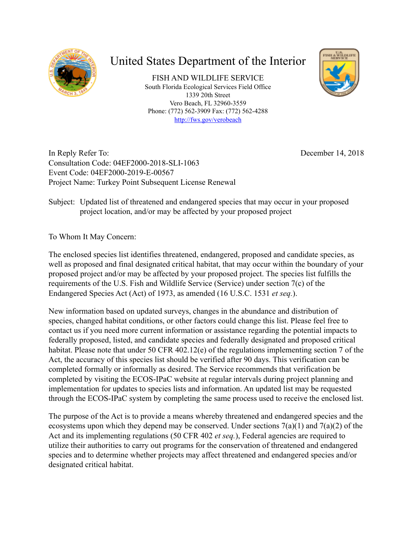

# United States Department of the Interior

FISH AND WILDLIFE SERVICE South Florida Ecological Services Field Office 1339 20th Street Vero Beach, FL 32960-3559 Phone: (772) 562-3909 Fax: (772) 562-4288 <http://fws.gov/verobeach>



In Reply Refer To: Consultation Code: 04EF2000-2018-SLI-1063 Event Code: 04EF2000-2019-E-00567 Project Name: Turkey Point Subsequent License Renewal December 14, 2018

Subject: Updated list of threatened and endangered species that may occur in your proposed project location, and/or may be affected by your proposed project

To Whom It May Concern:

The enclosed species list identifies threatened, endangered, proposed and candidate species, as well as proposed and final designated critical habitat, that may occur within the boundary of your proposed project and/or may be affected by your proposed project. The species list fulfills the requirements of the U.S. Fish and Wildlife Service (Service) under section 7(c) of the Endangered Species Act (Act) of 1973, as amended (16 U.S.C. 1531 *et seq.*).

New information based on updated surveys, changes in the abundance and distribution of species, changed habitat conditions, or other factors could change this list. Please feel free to contact us if you need more current information or assistance regarding the potential impacts to federally proposed, listed, and candidate species and federally designated and proposed critical habitat. Please note that under 50 CFR 402.12(e) of the regulations implementing section 7 of the Act, the accuracy of this species list should be verified after 90 days. This verification can be completed formally or informally as desired. The Service recommends that verification be completed by visiting the ECOS-IPaC website at regular intervals during project planning and implementation for updates to species lists and information. An updated list may be requested through the ECOS-IPaC system by completing the same process used to receive the enclosed list.

The purpose of the Act is to provide a means whereby threatened and endangered species and the ecosystems upon which they depend may be conserved. Under sections  $7(a)(1)$  and  $7(a)(2)$  of the Act and its implementing regulations (50 CFR 402 *et seq.*), Federal agencies are required to utilize their authorities to carry out programs for the conservation of threatened and endangered species and to determine whether projects may affect threatened and endangered species and/or designated critical habitat.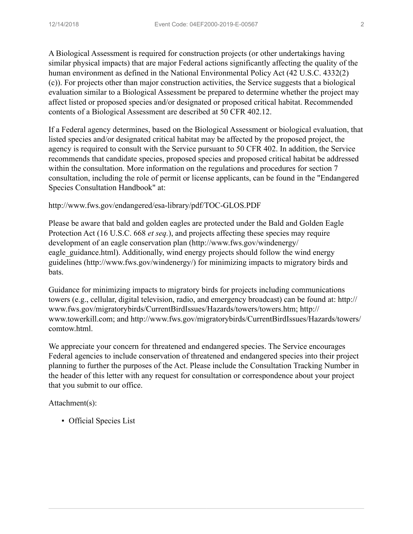A Biological Assessment is required for construction projects (or other undertakings having similar physical impacts) that are major Federal actions significantly affecting the quality of the human environment as defined in the National Environmental Policy Act (42 U.S.C. 4332(2) (c)). For projects other than major construction activities, the Service suggests that a biological evaluation similar to a Biological Assessment be prepared to determine whether the project may affect listed or proposed species and/or designated or proposed critical habitat. Recommended contents of a Biological Assessment are described at 50 CFR 402.12.

If a Federal agency determines, based on the Biological Assessment or biological evaluation, that listed species and/or designated critical habitat may be affected by the proposed project, the agency is required to consult with the Service pursuant to 50 CFR 402. In addition, the Service recommends that candidate species, proposed species and proposed critical habitat be addressed within the consultation. More information on the regulations and procedures for section 7 consultation, including the role of permit or license applicants, can be found in the "Endangered Species Consultation Handbook" at:

http://www.fws.gov/endangered/esa-library/pdf/TOC-GLOS.PDF

Please be aware that bald and golden eagles are protected under the Bald and Golden Eagle Protection Act (16 U.S.C. 668 *et seq.*), and projects affecting these species may require development of an eagle conservation plan (http://www.fws.gov/windenergy/ eagle guidance.html). Additionally, wind energy projects should follow the wind energy guidelines (http://www.fws.gov/windenergy/) for minimizing impacts to migratory birds and bats.

Guidance for minimizing impacts to migratory birds for projects including communications towers (e.g., cellular, digital television, radio, and emergency broadcast) can be found at: http:// www.fws.gov/migratorybirds/CurrentBirdIssues/Hazards/towers/towers.htm; http:// www.towerkill.com; and http://www.fws.gov/migratorybirds/CurrentBirdIssues/Hazards/towers/ comtow.html.

We appreciate your concern for threatened and endangered species. The Service encourages Federal agencies to include conservation of threatened and endangered species into their project planning to further the purposes of the Act. Please include the Consultation Tracking Number in the header of this letter with any request for consultation or correspondence about your project that you submit to our office.

Attachment(s):

▪ Official Species List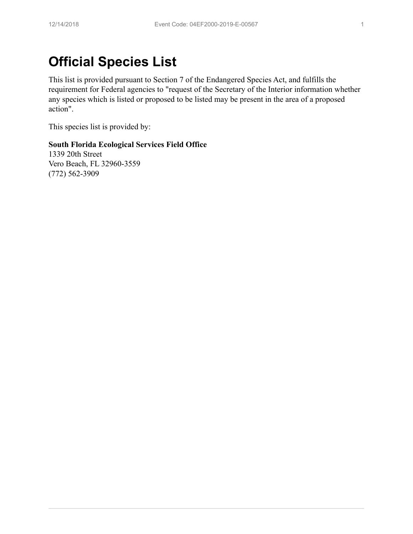# **Official Species List**

This list is provided pursuant to Section 7 of the Endangered Species Act, and fulfills the requirement for Federal agencies to "request of the Secretary of the Interior information whether any species which is listed or proposed to be listed may be present in the area of a proposed action".

This species list is provided by:

### **South Florida Ecological Services Field Office**

1339 20th Street Vero Beach, FL 32960-3559 (772) 562-3909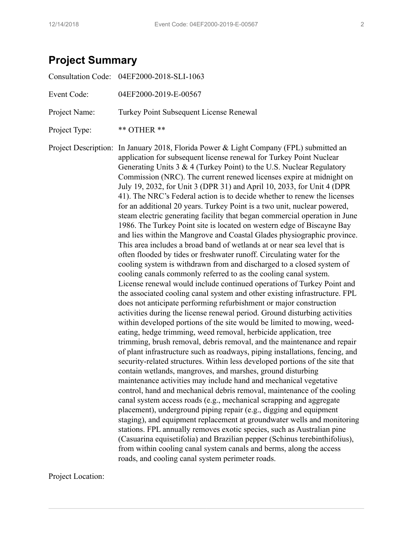# **Project Summary**

Project Location: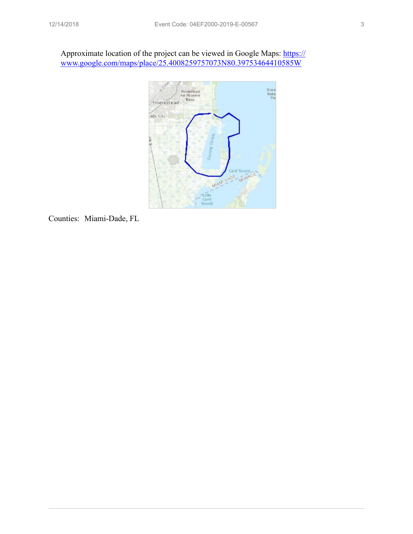Approximate location of the project can be viewed in Google Maps: [https://](https://www.google.com/maps/place/25.4008259757073N80.39753464410585W) [www.google.com/maps/place/25.4008259757073N80.39753464410585W](https://www.google.com/maps/place/25.4008259757073N80.39753464410585W)



Counties: Miami-Dade, FL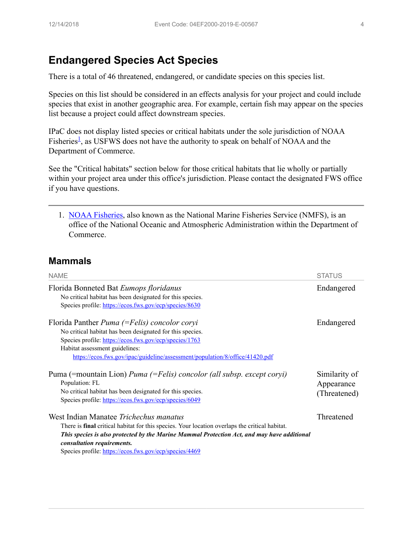### **Endangered Species Act Species**

There is a total of 46 threatened, endangered, or candidate species on this species list.

Species on this list should be considered in an effects analysis for your project and could include species that exist in another geographic area. For example, certain fish may appear on the species list because a project could affect downstream species.

IPaC does not display listed species or critical habitats under the sole jurisdiction of NOAA Fisheries<sup>[1](#page-5-0)</sup>, as USFWS does not have the authority to speak on behalf of NOAA and the Department of Commerce.

See the "Critical habitats" section below for those critical habitats that lie wholly or partially within your project area under this office's jurisdiction. Please contact the designated FWS office if you have questions.

<span id="page-5-0"></span>1. [NOAA Fisheries](https://www.fisheries.noaa.gov/), also known as the National Marine Fisheries Service (NMFS), is an office of the National Oceanic and Atmospheric Administration within the Department of Commerce.

### **Mammals**

| <b>NAME</b>                                                                                                                                                                                                                                                                                                                            | <b>STATUS</b>                               |  |
|----------------------------------------------------------------------------------------------------------------------------------------------------------------------------------------------------------------------------------------------------------------------------------------------------------------------------------------|---------------------------------------------|--|
| Florida Bonneted Bat Eumops floridanus<br>No critical habitat has been designated for this species.<br>Species profile. https://ecos.fws.gov/ecp/species/8630                                                                                                                                                                          | Endangered                                  |  |
| Florida Panther <i>Puma</i> (= Felis) concolor coryi<br>No critical habitat has been designated for this species.<br>Species profile: https://ecos.fws.gov/ecp/species/1763<br>Habitat assessment guidelines:<br>https://ecos.fws.gov/ipac/guideline/assessment/population/8/office/41420.pdf                                          | Endangered                                  |  |
| Puma (= mountain Lion) <i>Puma (= Felis) concolor (all subsp. except coryi)</i><br>Population: FL<br>No critical habitat has been designated for this species.<br>Species profile: https://ecos.fws.gov/ecp/species/6049                                                                                                               | Similarity of<br>Appearance<br>(Threatened) |  |
| West Indian Manatee Trichechus manatus<br>There is <b>final</b> critical habitat for this species. Your location overlaps the critical habitat.<br>This species is also protected by the Marine Mammal Protection Act, and may have additional<br>consultation requirements.<br>Species profile: https://ecos.fws.gov/ecp/species/4469 | Threatened                                  |  |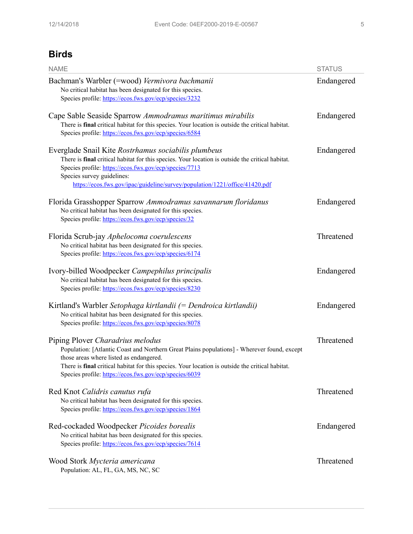### **Birds**

| <b>NAME</b>                                                                                                                                                                                                                                                                                                                                     | <b>STATUS</b> |
|-------------------------------------------------------------------------------------------------------------------------------------------------------------------------------------------------------------------------------------------------------------------------------------------------------------------------------------------------|---------------|
| Bachman's Warbler (=wood) Vermivora bachmanii<br>No critical habitat has been designated for this species.<br>Species profile: https://ecos.fws.gov/ecp/species/3232                                                                                                                                                                            | Endangered    |
| Cape Sable Seaside Sparrow Ammodramus maritimus mirabilis<br>There is final critical habitat for this species. Your location is outside the critical habitat.<br>Species profile: https://ecos.fws.gov/ecp/species/6584                                                                                                                         | Endangered    |
| Everglade Snail Kite Rostrhamus sociabilis plumbeus<br>There is final critical habitat for this species. Your location is outside the critical habitat.<br>Species profile: https://ecos.fws.gov/ecp/species/7713<br>Species survey guidelines:<br>https://ecos.fws.gov/ipac/guideline/survey/population/1221/office/41420.pdf                  | Endangered    |
| Florida Grasshopper Sparrow Ammodramus savannarum floridanus<br>No critical habitat has been designated for this species.<br>Species profile: https://ecos.fws.gov/ecp/species/32                                                                                                                                                               | Endangered    |
| Florida Scrub-jay Aphelocoma coerulescens<br>No critical habitat has been designated for this species.<br>Species profile: https://ecos.fws.gov/ecp/species/6174                                                                                                                                                                                | Threatened    |
| Ivory-billed Woodpecker Campephilus principalis<br>No critical habitat has been designated for this species.<br>Species profile: https://ecos.fws.gov/ecp/species/8230                                                                                                                                                                          | Endangered    |
| Kirtland's Warbler Setophaga kirtlandii $(=Dendroica kirlandii)$<br>No critical habitat has been designated for this species.<br>Species profile: https://ecos.fws.gov/ecp/species/8078                                                                                                                                                         | Endangered    |
| Piping Plover Charadrius melodus<br>Population: [Atlantic Coast and Northern Great Plains populations] - Wherever found, except<br>those areas where listed as endangered.<br>There is <b>final</b> critical habitat for this species. Your location is outside the critical habitat.<br>Species profile: https://ecos.fws.gov/ecp/species/6039 | Threatened    |
| Red Knot Calidris canutus rufa<br>No critical habitat has been designated for this species.<br>Species profile: https://ecos.fws.gov/ecp/species/1864                                                                                                                                                                                           | Threatened    |
| Red-cockaded Woodpecker Picoides borealis<br>No critical habitat has been designated for this species.<br>Species profile: https://ecos.fws.gov/ecp/species/7614                                                                                                                                                                                | Endangered    |
| Wood Stork Mycteria americana<br>Population: AL, FL, GA, MS, NC, SC                                                                                                                                                                                                                                                                             | Threatened    |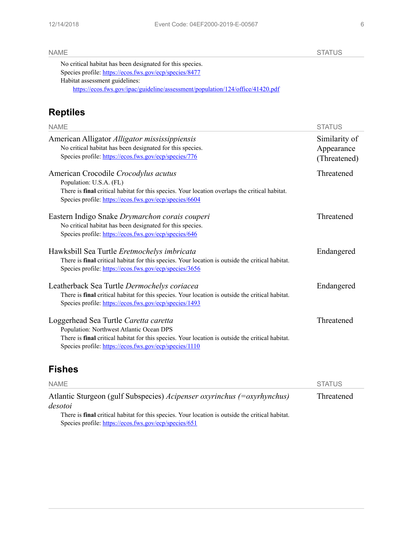NAME STATUS AND STATUS AND STATUS AND STATUS AND STATUS AND STATUS AND STATUS AND STATUS AND STATUS AND STATUS

| No critical habitat has been designated for this species.                      |
|--------------------------------------------------------------------------------|
| Species profile. https://ecos.fws.gov/ecp/species/8477                         |
| Habitat assessment guidelines.                                                 |
| https://ecos.fws.gov/ipac/guideline/assessment/population/124/office/41420.pdf |
|                                                                                |

# **Reptiles**

| <b>NAME</b>                                                                                                                                                                                                                                            | <b>STATUS</b>                               |
|--------------------------------------------------------------------------------------------------------------------------------------------------------------------------------------------------------------------------------------------------------|---------------------------------------------|
| American Alligator Alligator mississippiensis<br>No critical habitat has been designated for this species.<br>Species profile: https://ecos.fws.gov/ecp/species/776                                                                                    | Similarity of<br>Appearance<br>(Threatened) |
| American Crocodile Crocodylus acutus<br>Population: U.S.A. (FL)<br>There is final critical habitat for this species. Your location overlaps the critical habitat.<br>Species profile: https://ecos.fws.gov/ecp/species/6604                            | Threatened                                  |
| Eastern Indigo Snake Drymarchon corais couperi<br>No critical habitat has been designated for this species.<br>Species profile: https://ecos.fws.gov/ecp/species/646                                                                                   | Threatened                                  |
| Hawksbill Sea Turtle Eretmochelys imbricata<br>There is final critical habitat for this species. Your location is outside the critical habitat.<br>Species profile: https://ecos.fws.gov/ecp/species/3656                                              | Endangered                                  |
| Leatherback Sea Turtle Dermochelys coriacea<br>There is final critical habitat for this species. Your location is outside the critical habitat.<br>Species profile: https://ecos.fws.gov/ecp/species/1493                                              | Endangered                                  |
| Loggerhead Sea Turtle Caretta caretta<br>Population: Northwest Atlantic Ocean DPS<br>There is <b>final</b> critical habitat for this species. Your location is outside the critical habitat.<br>Species profile. https://ecos.fws.gov/ecp/species/1110 | Threatened                                  |
|                                                                                                                                                                                                                                                        |                                             |

## **Fishes**

| <b>NAME</b>                                                                                             | <b>STATUS</b> |
|---------------------------------------------------------------------------------------------------------|---------------|
| Atlantic Sturgeon (gulf Subspecies) Acipenser oxyrinchus (= $oxyrhynchus$ )                             | Threatened    |
| desotoi                                                                                                 |               |
| There is <b>final</b> critical habitat for this species. Your location is outside the critical habitat. |               |
| Species profile: https://ecos.fws.gov/ecp/species/651                                                   |               |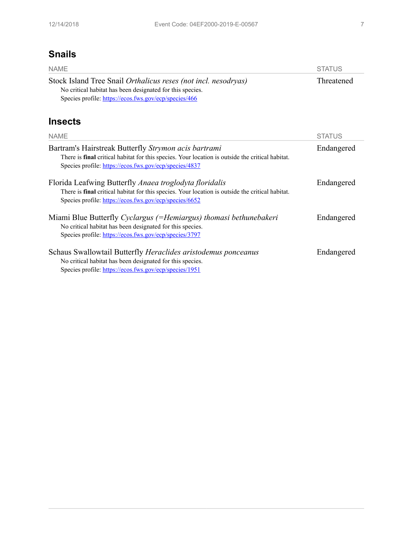## **Snails**

| <b>NAME</b>                                                                                                                                                                                                          | <b>STATUS</b> |
|----------------------------------------------------------------------------------------------------------------------------------------------------------------------------------------------------------------------|---------------|
| Stock Island Tree Snail Orthalicus reses (not incl. nesodryas)<br>No critical habitat has been designated for this species.<br>Species profile: https://ecos.fws.gov/ecp/species/466                                 | Threatened    |
| <b>Insects</b>                                                                                                                                                                                                       |               |
| <b>NAME</b>                                                                                                                                                                                                          | <b>STATUS</b> |
| Bartram's Hairstreak Butterfly Strymon acis bartrami<br>There is final critical habitat for this species. Your location is outside the critical habitat.<br>Species profile: https://ecos.fws.gov/ecp/species/4837   | Endangered    |
| Florida Leafwing Butterfly Anaea troglodyta floridalis<br>There is final critical habitat for this species. Your location is outside the critical habitat.<br>Species profile: https://ecos.fws.gov/ecp/species/6652 | Endangered    |
| Miami Blue Butterfly Cyclargus (=Hemiargus) thomasi bethunebakeri<br>No critical habitat has been designated for this species.<br>Species profile: https://ecos.fws.gov/ecp/species/3797                             | Endangered    |
| Schaus Swallowtail Butterfly Heraclides aristodemus ponceanus<br>No critical habitat has been designated for this species.<br>Species profile: https://ecos.fws.gov/ecp/species/1951                                 | Endangered    |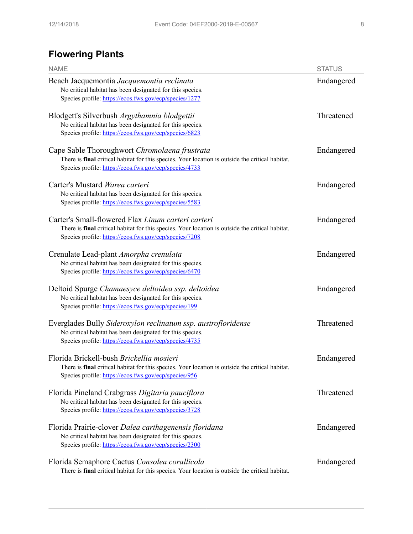## **Flowering Plants**

| <b>NAME</b>                                                                                                                                                                                                      | <b>STATUS</b> |
|------------------------------------------------------------------------------------------------------------------------------------------------------------------------------------------------------------------|---------------|
| Beach Jacquemontia Jacquemontia reclinata<br>No critical habitat has been designated for this species.<br>Species profile: https://ecos.fws.gov/ecp/species/1277                                                 | Endangered    |
| Blodgett's Silverbush Argythamnia blodgettii<br>No critical habitat has been designated for this species.<br>Species profile: https://ecos.fws.gov/ecp/species/6823                                              | Threatened    |
| Cape Sable Thoroughwort Chromolaena frustrata<br>There is final critical habitat for this species. Your location is outside the critical habitat.<br>Species profile: https://ecos.fws.gov/ecp/species/4733      | Endangered    |
| Carter's Mustard Warea carteri<br>No critical habitat has been designated for this species.<br>Species profile. https://ecos.fws.gov/ecp/species/5583                                                            | Endangered    |
| Carter's Small-flowered Flax Linum carteri carteri<br>There is final critical habitat for this species. Your location is outside the critical habitat.<br>Species profile. https://ecos.fws.gov/ecp/species/7208 | Endangered    |
| Crenulate Lead-plant Amorpha crenulata<br>No critical habitat has been designated for this species.<br>Species profile. https://ecos.fws.gov/ecp/species/6470                                                    | Endangered    |
| Deltoid Spurge Chamaesyce deltoidea ssp. deltoidea<br>No critical habitat has been designated for this species.<br>Species profile: https://ecos.fws.gov/ecp/species/199                                         | Endangered    |
| Everglades Bully Sideroxylon reclinatum ssp. austrofloridense<br>No critical habitat has been designated for this species.<br>Species profile: https://ecos.fws.gov/ecp/species/4735                             | Threatened    |
| Florida Brickell-bush Brickellia mosieri<br>There is final critical habitat for this species. Your location is outside the critical habitat.<br>Species profile. https://ecos.fws.gov/ecp/species/956            | Endangered    |
| Florida Pineland Crabgrass Digitaria pauciflora<br>No critical habitat has been designated for this species.<br>Species profile: https://ecos.fws.gov/ecp/species/3728                                           | Threatened    |
| Florida Prairie-clover Dalea carthagenensis floridana<br>No critical habitat has been designated for this species.<br>Species profile: https://ecos.fws.gov/ecp/species/2300                                     | Endangered    |
| Florida Semaphore Cactus Consolea corallicola<br>There is final critical habitat for this species. Your location is outside the critical habitat.                                                                | Endangered    |